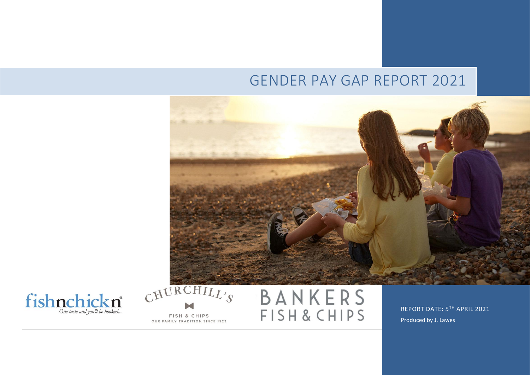# GENDER PAY GAP REPORT 2021





FISH & CHIPS OUR FAMILY TRADITION SINCE 1923



REPORT DATE: 5TH APRIL 2021 Produced by J. Lawes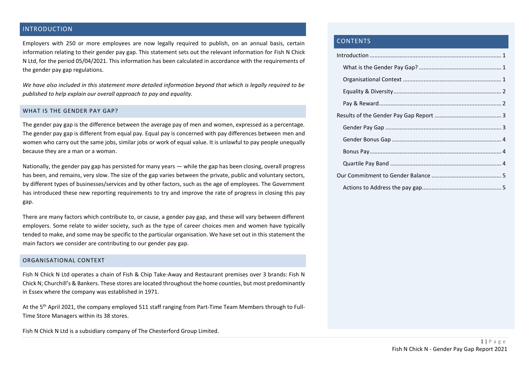## <span id="page-1-0"></span>INTRODUCTION

Employers with 250 or more employees are now legally required to publish, on an annual basis, certain information relating to their gender pay gap. This statement sets out the relevant information for Fish N Chick N Ltd, for the period 05/04/2021. This information has been calculated in accordance with the requirements of the gender pay gap regulations.

*We have also included in this statement more detailed information beyond that which is legally required to be published to help explain our overall approach to pay and equality.*

#### <span id="page-1-1"></span>WHAT IS THE GENDER PAY GAP?

The gender pay gap is the difference between the average pay of men and women, expressed as a percentage. The gender pay gap is different from equal pay. Equal pay is concerned with pay differences between men and women who carry out the same jobs, similar jobs or work of equal value. It is unlawful to pay people unequally because they are a man or a woman.

Nationally, the gender pay gap has persisted for many years — while the gap has been closing, overall progress has been, and remains, very slow. The size of the gap varies between the private, public and voluntary sectors, by different types of businesses/services and by other factors, such as the age of employees. The Government has introduced these new reporting requirements to try and improve the rate of progress in closing this pay gap.

There are many factors which contribute to, or cause, a gender pay gap, and these will vary between different employers. Some relate to wider society, such as the type of career choices men and women have typically tended to make, and some may be specific to the particular organisation. We have set out in this statement the main factors we consider are contributing to our gender pay gap.

#### <span id="page-1-2"></span>ORGANISATIONAL CONTEXT

Fish N Chick N Ltd operates a chain of Fish & Chip Take-Away and Restaurant premises over 3 brands: Fish N Chick N; Churchill's & Bankers. These stores are located throughout the home counties, but most predominantly in Essex where the company was established in 1971.

At the 5<sup>th</sup> April 2021, the company employed 511 staff ranging from Part-Time Team Members through to Full-Time Store Managers within its 38 stores.

Fish N Chick N Ltd is a subsidiary company of The Chesterford Group Limited.

## CONTENTS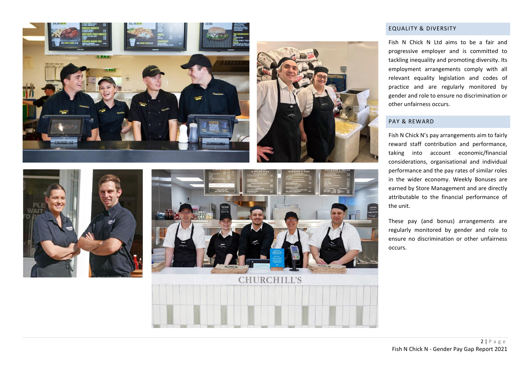<span id="page-2-0"></span>



Fish N Chick N Ltd aims to be a fair and progressive employer and is committed to tackling inequality and promoting diversity. Its employment arrangements comply with all relevant equality legislation and codes of practice and are regularly monitored by gender and role to ensure no discrimination or other unfairness occurs.

#### PAY & REWARD

Fish N Chick N's pay arrangements aim to fairly reward staff contribution and performance, taking into account economic/financial considerations, organisational and individual performance and the pay rates of similar roles in the wider economy. Weekly Bonuses are earned by Store Management and are directly attributable to the financial performance of the unit.

These pay (and bonus) arrangements are regularly monitored by gender and role to ensure no discrimination or other unfairness occurs.

<span id="page-2-1"></span>

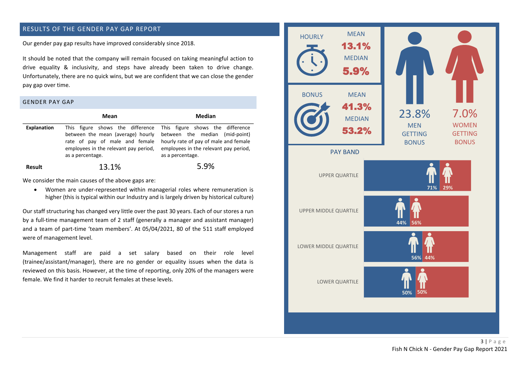## <span id="page-3-0"></span>RESULTS OF THE GENDER PAY GAP REPORT

<span id="page-3-1"></span>Our gender pay gap results have improved considerably since 2018.

It should be noted that the company will remain focused on taking meaningful action to drive equality & inclusivity, and steps have already been taken to drive change. Unfortunately, there are no quick wins, but we are confident that we can close the gender pay gap over time.

#### GENDER PAY GAP

|                    | Mean                                                                                                                             | Median                                                                                                                                                                                                    |  |  |
|--------------------|----------------------------------------------------------------------------------------------------------------------------------|-----------------------------------------------------------------------------------------------------------------------------------------------------------------------------------------------------------|--|--|
| <b>Explanation</b> | between the mean (average) hourly<br>rate of pay of male and female<br>employees in the relevant pay period,<br>as a percentage. | This figure shows the difference This figure shows the difference<br>between the median (mid-point)<br>hourly rate of pay of male and female<br>employees in the relevant pay period,<br>as a percentage. |  |  |
| <b>Result</b>      | 13.1%                                                                                                                            | 5.9%                                                                                                                                                                                                      |  |  |

We consider the main causes of the above gaps are:

• Women are under-represented within managerial roles where remuneration is higher (this is typical within our Industry and is largely driven by historical culture)

Our staff structuring has changed very little over the past 30 years. Each of our stores a run by a full-time management team of 2 staff (generally a manager and assistant manager) and a team of part-time 'team members'. At 05/04/2021, 80 of the 511 staff employed were of management level.

Management staff are paid a set salary based on their role level (trainee/assistant/manager), there are no gender or equality issues when the data is reviewed on this basis. However, at the time of reporting, only 20% of the managers were female. We find it harder to recruit females at these levels.

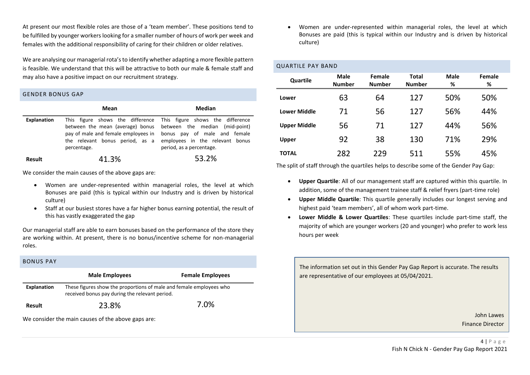At present our most flexible roles are those of a 'team member'. These positions tend to be fulfilled by younger workers looking for a smaller number of hours of work per week and females with the additional responsibility of caring for their children or older relatives.

We are analysing our managerial rota's to identify whether adapting a more flexible pattern is feasible. We understand that this will be attractive to both our male & female staff and may also have a positive impact on our recruitment strategy.

### <span id="page-4-0"></span>GENDER BONUS GAP

|             | Mean                                           | Median                                                                                                                                                                                                                                                                  |  |  |
|-------------|------------------------------------------------|-------------------------------------------------------------------------------------------------------------------------------------------------------------------------------------------------------------------------------------------------------------------------|--|--|
| Explanation | the relevant bonus period, as a<br>percentage. | This figure shows the difference This figure shows the difference<br>between the mean (average) bonus between the median (mid-point)<br>pay of male and female employees in bonus pay of male and female<br>employees in the relevant bonus<br>period, as a percentage. |  |  |
| Result      | 41.3%                                          | 53.2%                                                                                                                                                                                                                                                                   |  |  |

We consider the main causes of the above gaps are:

- Women are under-represented within managerial roles, the level at which Bonuses are paid (this is typical within our Industry and is driven by historical culture)
- Staff at our busiest stores have a far higher bonus earning potential, the result of this has vastly exaggerated the gap

Our managerial staff are able to earn bonuses based on the performance of the store they are working within. At present, there is no bonus/incentive scheme for non-managerial roles.

<span id="page-4-1"></span>

| <b>BONUS PAY</b>                                   |                                                                                                                       |                         |  |  |  |
|----------------------------------------------------|-----------------------------------------------------------------------------------------------------------------------|-------------------------|--|--|--|
|                                                    | <b>Male Employees</b>                                                                                                 | <b>Female Employees</b> |  |  |  |
| Explanation                                        | These figures show the proportions of male and female employees who<br>received bonus pay during the relevant period. |                         |  |  |  |
| <b>Result</b>                                      | 23.8%                                                                                                                 | 7.0%                    |  |  |  |
| We consider the main causes of the above gaps are: |                                                                                                                       |                         |  |  |  |

• Women are under-represented within managerial roles, the level at which Bonuses are paid (this is typical within our Industry and is driven by historical culture)

## <span id="page-4-2"></span>QUARTILE PAY BAND

| Quartile            | Male<br><b>Number</b> | Female<br><b>Number</b> | Total<br><b>Number</b> | <b>Male</b><br>% | Female<br>% |
|---------------------|-----------------------|-------------------------|------------------------|------------------|-------------|
| Lower               | 63                    | 64                      | 127                    | 50%              | 50%         |
| <b>Lower Middle</b> | 71                    | 56                      | 127                    | 56%              | 44%         |
| <b>Upper Middle</b> | 56                    | 71                      | 127                    | 44%              | 56%         |
| Upper               | 92                    | 38                      | 130                    | 71%              | 29%         |
| <b>TOTAL</b>        | 282                   | 229                     | 511                    | 55%              | 45%         |

The split of staff through the quartiles helps to describe some of the Gender Pay Gap:

- **Upper Quartile**: All of our management staff are captured within this quartile. In addition, some of the management trainee staff & relief fryers (part-time role)
- **Upper Middle Quartile**: This quartile generally includes our longest serving and highest paid 'team members', all of whom work part-time.
- **Lower Middle & Lower Quartiles**: These quartiles include part-time staff, the majority of which are younger workers (20 and younger) who prefer to work less hours per week

The information set out in this Gender Pay Gap Report is accurate. The results are representative of our employees at 05/04/2021.

> John Lawes Finance Director